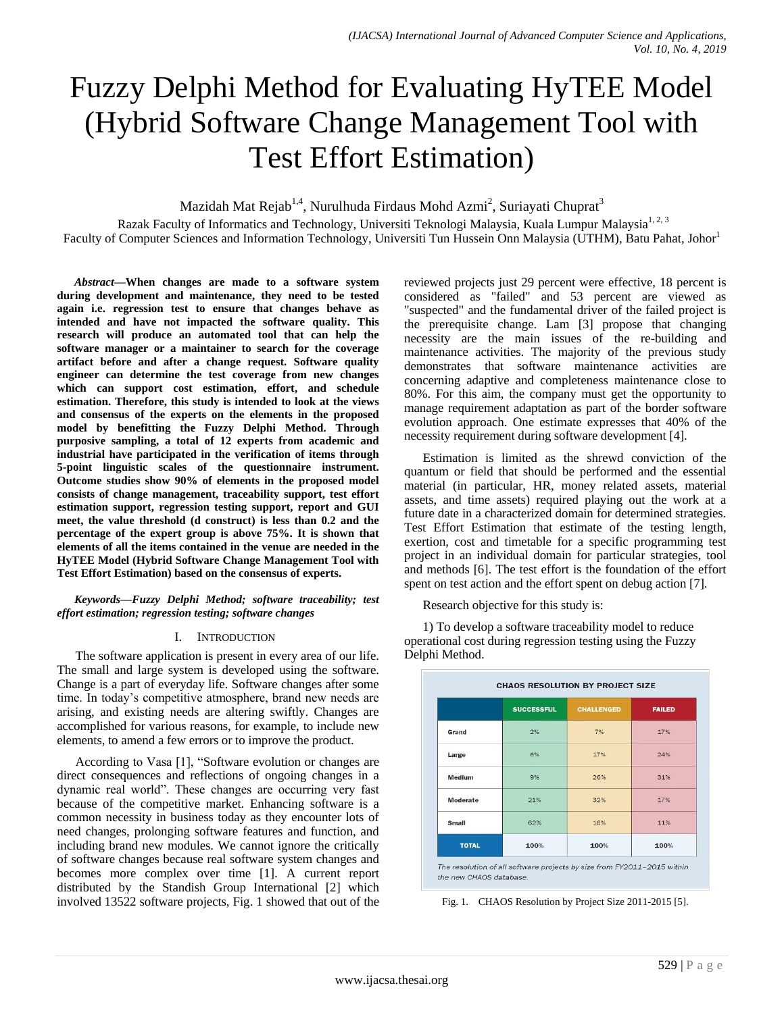# Fuzzy Delphi Method for Evaluating HyTEE Model (Hybrid Software Change Management Tool with Test Effort Estimation)

Mazidah Mat Rejab<sup>1,4</sup>, Nurulhuda Firdaus Mohd Azmi<sup>2</sup>, Suriayati Chuprat<sup>3</sup>

Razak Faculty of Informatics and Technology, Universiti Teknologi Malaysia, Kuala Lumpur Malaysia<sup>1, 2, 3</sup> Faculty of Computer Sciences and Information Technology, Universiti Tun Hussein Onn Malaysia (UTHM), Batu Pahat, Johor<sup>1</sup>

*Abstract***—When changes are made to a software system during development and maintenance, they need to be tested again i.e. regression test to ensure that changes behave as intended and have not impacted the software quality. This research will produce an automated tool that can help the software manager or a maintainer to search for the coverage artifact before and after a change request. Software quality engineer can determine the test coverage from new changes which can support cost estimation, effort, and schedule estimation. Therefore, this study is intended to look at the views and consensus of the experts on the elements in the proposed model by benefitting the Fuzzy Delphi Method. Through purposive sampling, a total of 12 experts from academic and industrial have participated in the verification of items through 5-point linguistic scales of the questionnaire instrument. Outcome studies show 90% of elements in the proposed model consists of change management, traceability support, test effort estimation support, regression testing support, report and GUI meet, the value threshold (d construct) is less than 0.2 and the percentage of the expert group is above 75%. It is shown that elements of all the items contained in the venue are needed in the HyTEE Model (Hybrid Software Change Management Tool with Test Effort Estimation) based on the consensus of experts.**

*Keywords—Fuzzy Delphi Method; software traceability; test effort estimation; regression testing; software changes*

#### I. INTRODUCTION

The software application is present in every area of our life. The small and large system is developed using the software. Change is a part of everyday life. Software changes after some time. In today's competitive atmosphere, brand new needs are arising, and existing needs are altering swiftly. Changes are accomplished for various reasons, for example, to include new elements, to amend a few errors or to improve the product.

According to Vasa [1], "Software evolution or changes are direct consequences and reflections of ongoing changes in a dynamic real world". These changes are occurring very fast because of the competitive market. Enhancing software is a common necessity in business today as they encounter lots of need changes, prolonging software features and function, and including brand new modules. We cannot ignore the critically of software changes because real software system changes and becomes more complex over time [1]. A current report distributed by the Standish Group International [2] which involved 13522 software projects, Fig. 1 showed that out of the

reviewed projects just 29 percent were effective, 18 percent is considered as "failed" and 53 percent are viewed as "suspected" and the fundamental driver of the failed project is the prerequisite change. Lam [3] propose that changing necessity are the main issues of the re-building and maintenance activities. The majority of the previous study demonstrates that software maintenance activities are concerning adaptive and completeness maintenance close to 80%. For this aim, the company must get the opportunity to manage requirement adaptation as part of the border software evolution approach. One estimate expresses that 40% of the necessity requirement during software development [4].

Estimation is limited as the shrewd conviction of the quantum or field that should be performed and the essential material (in particular, HR, money related assets, material assets, and time assets) required playing out the work at a future date in a characterized domain for determined strategies. Test Effort Estimation that estimate of the testing length, exertion, cost and timetable for a specific programming test project in an individual domain for particular strategies, tool and methods [6]. The test effort is the foundation of the effort spent on test action and the effort spent on debug action [7].

Research objective for this study is:

1) To develop a software traceability model to reduce operational cost during regression testing using the Fuzzy Delphi Method.

|                 | <b>SUCCESSFUL</b> | <b>CHALLENGED</b> | <b>FAILED</b> |
|-----------------|-------------------|-------------------|---------------|
| Grand           | 2%                | 7%                | 17%           |
| Large           | 6%                | 17%               | 24%           |
| Medium          | 9%                | 26%               | 31%           |
| <b>Moderate</b> | 21%               | 32%               | 17%           |
| Small           | 62%               | 16%               | 11%           |
| <b>TOTAL</b>    | 100%              | 100%              | 100%          |

the new CHAOS database.

Fig. 1. CHAOS Resolution by Project Size 2011-2015 [5].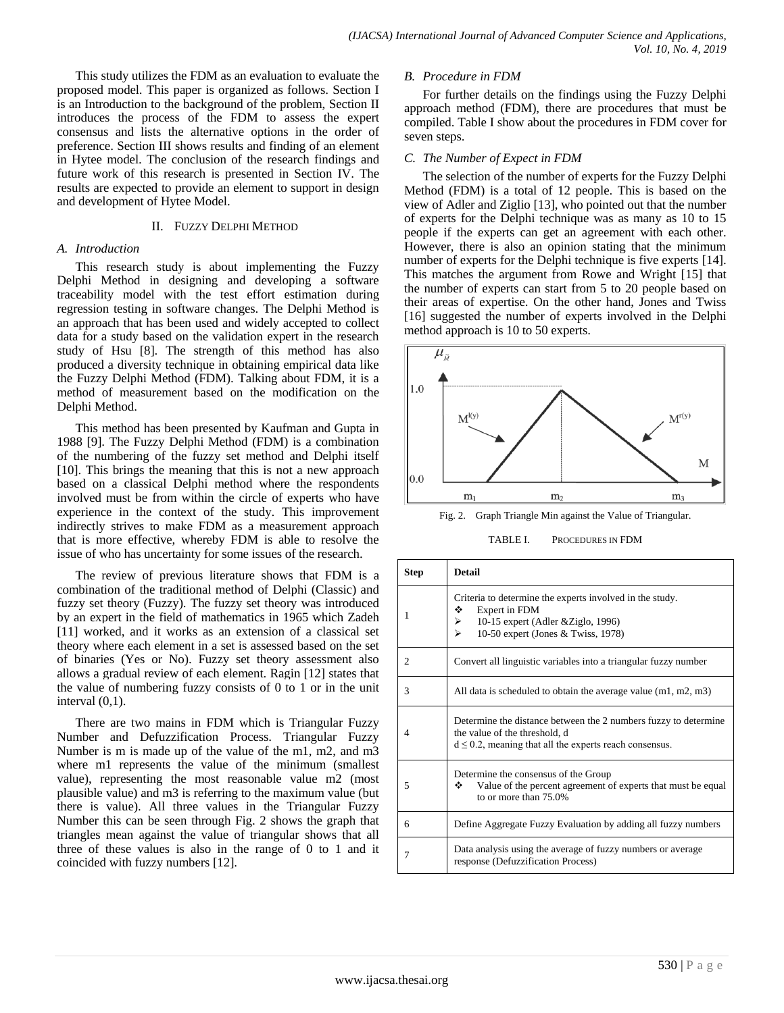This study utilizes the FDM as an evaluation to evaluate the proposed model. This paper is organized as follows. Section I is an Introduction to the background of the problem, Section II introduces the process of the FDM to assess the expert consensus and lists the alternative options in the order of preference. Section III shows results and finding of an element in Hytee model. The conclusion of the research findings and future work of this research is presented in Section IV. The results are expected to provide an element to support in design and development of Hytee Model.

#### II. FUZZY DELPHI METHOD

#### *A. Introduction*

This research study is about implementing the Fuzzy Delphi Method in designing and developing a software traceability model with the test effort estimation during regression testing in software changes. The Delphi Method is an approach that has been used and widely accepted to collect data for a study based on the validation expert in the research study of Hsu [8]. The strength of this method has also produced a diversity technique in obtaining empirical data like the Fuzzy Delphi Method (FDM). Talking about FDM, it is a method of measurement based on the modification on the Delphi Method.

This method has been presented by Kaufman and Gupta in 1988 [9]. The Fuzzy Delphi Method (FDM) is a combination of the numbering of the fuzzy set method and Delphi itself [10]. This brings the meaning that this is not a new approach based on a classical Delphi method where the respondents involved must be from within the circle of experts who have experience in the context of the study. This improvement indirectly strives to make FDM as a measurement approach that is more effective, whereby FDM is able to resolve the issue of who has uncertainty for some issues of the research.

The review of previous literature shows that FDM is a combination of the traditional method of Delphi (Classic) and fuzzy set theory (Fuzzy). The fuzzy set theory was introduced by an expert in the field of mathematics in 1965 which Zadeh [11] worked, and it works as an extension of a classical set theory where each element in a set is assessed based on the set of binaries (Yes or No). Fuzzy set theory assessment also allows a gradual review of each element. Ragin [12] states that the value of numbering fuzzy consists of 0 to 1 or in the unit interval (0,1).

There are two mains in FDM which is Triangular Fuzzy Number and Defuzzification Process. Triangular Fuzzy Number is m is made up of the value of the m1, m2, and m3 where m1 represents the value of the minimum (smallest value), representing the most reasonable value m2 (most plausible value) and m3 is referring to the maximum value (but there is value). All three values in the Triangular Fuzzy Number this can be seen through Fig. 2 shows the graph that triangles mean against the value of triangular shows that all three of these values is also in the range of 0 to 1 and it coincided with fuzzy numbers [12].

#### *B. Procedure in FDM*

For further details on the findings using the Fuzzy Delphi approach method (FDM), there are procedures that must be compiled. Table I show about the procedures in FDM cover for seven steps.

#### *C. The Number of Expect in FDM*

The selection of the number of experts for the Fuzzy Delphi Method (FDM) is a total of 12 people. This is based on the view of Adler and Ziglio [13], who pointed out that the number of experts for the Delphi technique was as many as 10 to 15 people if the experts can get an agreement with each other. However, there is also an opinion stating that the minimum number of experts for the Delphi technique is five experts [14]. This matches the argument from Rowe and Wright [15] that the number of experts can start from 5 to 20 people based on their areas of expertise. On the other hand, Jones and Twiss [16] suggested the number of experts involved in the Delphi method approach is 10 to 50 experts.



Fig. 2. Graph Triangle Min against the Value of Triangular.

TABLE I. PROCEDURES IN FDM

| <b>Step</b>    | <b>Detail</b>                                                                                                                                                       |  |  |  |  |
|----------------|---------------------------------------------------------------------------------------------------------------------------------------------------------------------|--|--|--|--|
| 1              | Criteria to determine the experts involved in the study.<br>❖<br>Expert in FDM<br>10-15 expert (Adler &Ziglo, 1996)<br>➤<br>10-50 expert (Jones & Twiss, 1978)<br>↘ |  |  |  |  |
| $\overline{c}$ | Convert all linguistic variables into a triangular fuzzy number                                                                                                     |  |  |  |  |
| 3              | All data is scheduled to obtain the average value $(m1, m2, m3)$                                                                                                    |  |  |  |  |
| 4              | Determine the distance between the 2 numbers fuzzy to determine<br>the value of the threshold, d<br>$d \leq 0.2$ , meaning that all the experts reach consensus.    |  |  |  |  |
| 5              | Determine the consensus of the Group<br>Value of the percent agreement of experts that must be equal<br>❖<br>to or more than 75.0%                                  |  |  |  |  |
| 6              | Define Aggregate Fuzzy Evaluation by adding all fuzzy numbers                                                                                                       |  |  |  |  |
| 7              | Data analysis using the average of fuzzy numbers or average<br>response (Defuzzification Process)                                                                   |  |  |  |  |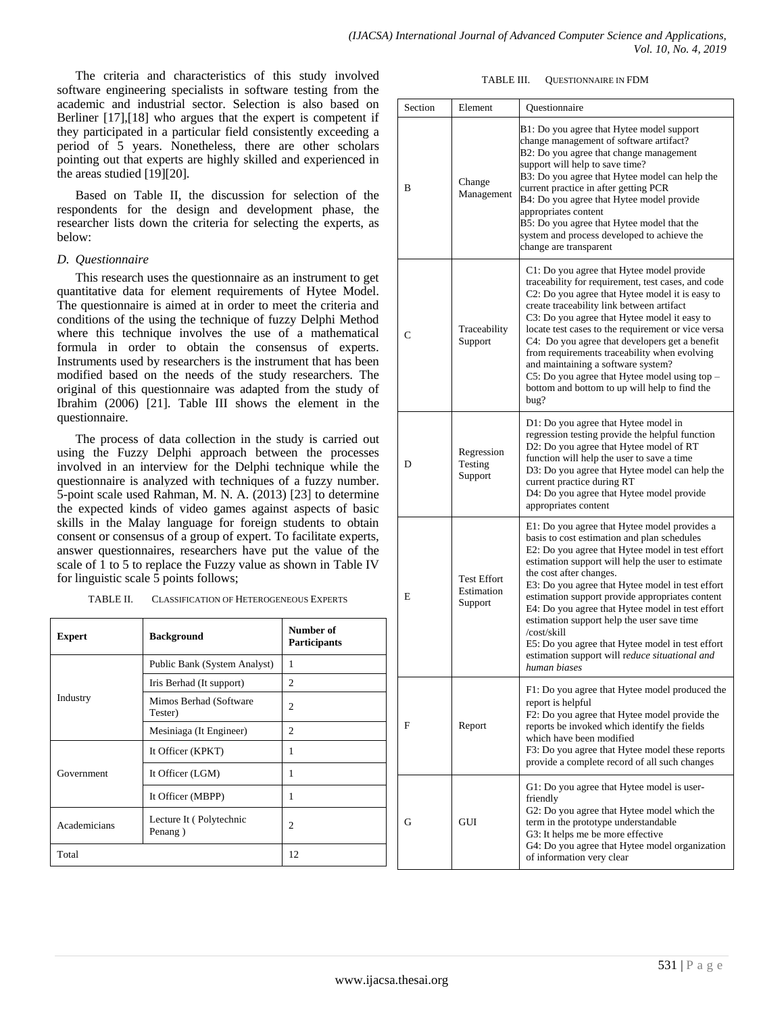The criteria and characteristics of this study involved software engineering specialists in software testing from the academic and industrial sector. Selection is also based on Berliner [17], [18] who argues that the expert is competent if they participated in a particular field consistently exceeding a period of 5 years. Nonetheless, there are other scholars pointing out that experts are highly skilled and experienced in the areas studied [19][20].

Based on Table II, the discussion for selection of the respondents for the design and development phase, the researcher lists down the criteria for selecting the experts, as below:

#### *D. Questionnaire*

This research uses the questionnaire as an instrument to get quantitative data for element requirements of Hytee Model. The questionnaire is aimed at in order to meet the criteria and conditions of the using the technique of fuzzy Delphi Method where this technique involves the use of a mathematical formula in order to obtain the consensus of experts. Instruments used by researchers is the instrument that has been modified based on the needs of the study researchers. The original of this questionnaire was adapted from the study of Ibrahim (2006) [21]. Table III shows the element in the questionnaire.

The process of data collection in the study is carried out using the Fuzzy Delphi approach between the processes involved in an interview for the Delphi technique while the questionnaire is analyzed with techniques of a fuzzy number. 5-point scale used Rahman, M. N. A. (2013) [23] to determine the expected kinds of video games against aspects of basic skills in the Malay language for foreign students to obtain consent or consensus of a group of expert. To facilitate experts, answer questionnaires, researchers have put the value of the scale of 1 to 5 to replace the Fuzzy value as shown in Table IV for linguistic scale 5 points follows;

| TABLE II.<br><b>CLASSIFICATION OF HETEROGENEOUS EXPERTS</b> |  |
|-------------------------------------------------------------|--|
|-------------------------------------------------------------|--|

| <b>Expert</b> | <b>Background</b>                  | Number of<br><b>Participants</b> |
|---------------|------------------------------------|----------------------------------|
|               | Public Bank (System Analyst)       | 1                                |
|               | Iris Berhad (It support)           | $\overline{c}$                   |
| Industry      | Mimos Berhad (Software<br>Tester)  | $\overline{c}$                   |
|               | Mesiniaga (It Engineer)            | $\overline{c}$                   |
|               | It Officer (KPKT)                  | 1                                |
| Government    | It Officer (LGM)                   | 1                                |
|               | It Officer (MBPP)                  | 1                                |
| Academicians  | Lecture It (Polytechnic<br>Penang) |                                  |
| Total         |                                    | 12                               |

| TABLE III.<br><b>QUESTIONNAIRE IN FDM</b> |  |
|-------------------------------------------|--|
|-------------------------------------------|--|

| Section | Element                                     | Questionnaire                                                                                                                                                                                                                                                                                                                                                                                                                                                                                                                                                                 |
|---------|---------------------------------------------|-------------------------------------------------------------------------------------------------------------------------------------------------------------------------------------------------------------------------------------------------------------------------------------------------------------------------------------------------------------------------------------------------------------------------------------------------------------------------------------------------------------------------------------------------------------------------------|
| В       | Change<br>Management                        | B1: Do you agree that Hytee model support<br>change management of software artifact?<br>B2: Do you agree that change management<br>support will help to save time?<br>B3: Do you agree that Hytee model can help the<br>current practice in after getting PCR<br>B4: Do you agree that Hytee model provide<br>appropriates content<br>B5: Do you agree that Hytee model that the<br>system and process developed to achieve the<br>change are transparent                                                                                                                     |
| С       | Traceability<br>Support                     | C1: Do you agree that Hytee model provide<br>traceability for requirement, test cases, and code<br>C2: Do you agree that Hytee model it is easy to<br>create traceability link between artifact<br>C3: Do you agree that Hytee model it easy to<br>locate test cases to the requirement or vice versa<br>C4: Do you agree that developers get a benefit<br>from requirements traceability when evolving<br>and maintaining a software system?<br>$C5$ : Do you agree that Hytee model using top $-$<br>bottom and bottom to up will help to find the<br>bug?                  |
| D       | Regression<br>Testing<br>Support            | D1: Do you agree that Hytee model in<br>regression testing provide the helpful function<br>D2: Do you agree that Hytee model of RT<br>function will help the user to save a time<br>D3: Do you agree that Hytee model can help the<br>current practice during RT<br>D4: Do you agree that Hytee model provide<br>appropriates content                                                                                                                                                                                                                                         |
| E       | <b>Test Effort</b><br>Estimation<br>Support | E1: Do you agree that Hytee model provides a<br>basis to cost estimation and plan schedules<br>E2: Do you agree that Hytee model in test effort<br>estimation support will help the user to estimate<br>the cost after changes.<br>E3: Do you agree that Hytee model in test effort<br>estimation support provide appropriates content<br>E4: Do you agree that Hytee model in test effort<br>estimation support help the user save time<br>/cost/skill<br>E5: Do you agree that Hytee model in test effort<br>estimation support will reduce situational and<br>human biases |
| F       | Report                                      | F1: Do you agree that Hytee model produced the<br>report is helpful<br>F2: Do you agree that Hytee model provide the<br>reports be invoked which identify the fields<br>which have been modified<br>F3: Do you agree that Hytee model these reports<br>provide a complete record of all such changes                                                                                                                                                                                                                                                                          |
| G       | GUI                                         | G1: Do you agree that Hytee model is user-<br>friendly<br>G2: Do you agree that Hytee model which the<br>term in the prototype understandable<br>G3: It helps me be more effective<br>G4: Do you agree that Hytee model organization<br>of information very clear                                                                                                                                                                                                                                                                                                             |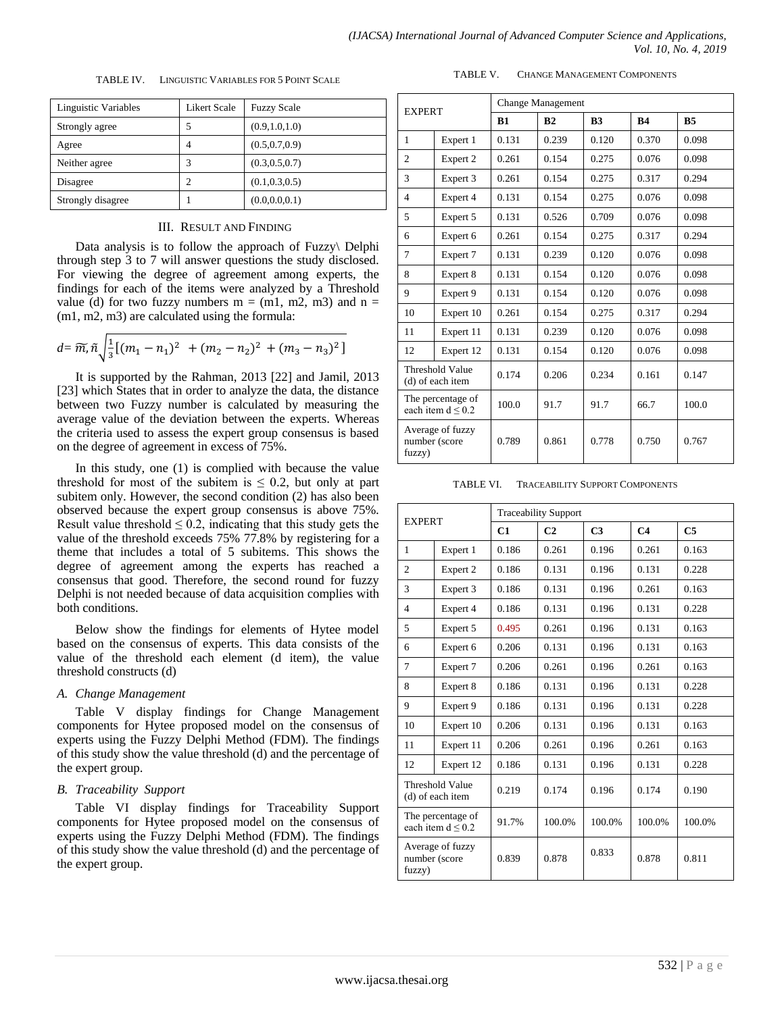TABLE V. CHANGE MANAGEMENT COMPONENTS

| Linguistic Variables | Likert Scale | <b>Fuzzy Scale</b> |
|----------------------|--------------|--------------------|
| Strongly agree       | 5            | (0.9, 1.0, 1.0)    |
| Agree                | 4            | (0.5, 0.7, 0.9)    |
| Neither agree        | 3            | (0.3, 0.5, 0.7)    |
| Disagree             | 2            | (0.1, 0.3, 0.5)    |
| Strongly disagree    |              | (0.0, 0.0, 0.1)    |

TABLE IV. LINGUISTIC VARIABLES FOR 5 POINT SCALE

#### III. RESULT AND FINDING

Data analysis is to follow the approach of Fuzzy\ Delphi through step 3 to 7 will answer questions the study disclosed. For viewing the degree of agreement among experts, the findings for each of the items were analyzed by a Threshold value (d) for two fuzzy numbers  $m = (m1, m2, m3)$  and  $n =$ (m1, m2, m3) are calculated using the formula:

$$
d = \widetilde{m}, \widetilde{n}\sqrt{\frac{1}{3}[(m_1 - n_1)^2 + (m_2 - n_2)^2 + (m_3 - n_3)^2]}
$$

It is supported by the Rahman, 2013 [22] and Jamil, 2013 [23] which States that in order to analyze the data, the distance between two Fuzzy number is calculated by measuring the average value of the deviation between the experts. Whereas the criteria used to assess the expert group consensus is based on the degree of agreement in excess of 75%.

In this study, one (1) is complied with because the value threshold for most of the subitem is  $\leq 0.2$ , but only at part subitem only. However, the second condition (2) has also been observed because the expert group consensus is above 75%. Result value threshold  $\leq 0.2$ , indicating that this study gets the value of the threshold exceeds 75% 77.8% by registering for a theme that includes a total of 5 subitems. This shows the degree of agreement among the experts has reached a consensus that good. Therefore, the second round for fuzzy Delphi is not needed because of data acquisition complies with both conditions.

Below show the findings for elements of Hytee model based on the consensus of experts. This data consists of the value of the threshold each element (d item), the value threshold constructs (d)

#### *A. Change Management*

Table V display findings for Change Management components for Hytee proposed model on the consensus of experts using the Fuzzy Delphi Method (FDM). The findings of this study show the value threshold (d) and the percentage of the expert group.

#### *B. Traceability Support*

Table VI display findings for Traceability Support components for Hytee proposed model on the consensus of experts using the Fuzzy Delphi Method (FDM). The findings of this study show the value threshold (d) and the percentage of the expert group.

|                         |                                             | <b>Change Management</b> |                |                |                |                |  |
|-------------------------|---------------------------------------------|--------------------------|----------------|----------------|----------------|----------------|--|
| <b>EXPERT</b>           |                                             | R1                       | B <sub>2</sub> | B <sub>3</sub> | R <sub>4</sub> | B <sub>5</sub> |  |
| 1                       | Expert 1                                    | 0.131                    | 0.239          | 0.120          | 0.370          | 0.098          |  |
| $\overline{c}$          | Expert 2                                    | 0.261                    | 0.154          | 0.275          | 0.076          | 0.098          |  |
| 3                       | Expert 3                                    | 0.261                    | 0.154          | 0.275          | 0.317          | 0.294          |  |
| $\overline{4}$          | Expert 4                                    | 0.131                    | 0.154          | 0.275          | 0.076          | 0.098          |  |
| 5                       | Expert 5                                    | 0.131                    | 0.526          | 0.709          | 0.076          | 0.098          |  |
| 6                       | Expert 6                                    | 0.261                    | 0.154          | 0.275          | 0.317          | 0.294          |  |
| 7                       | Expert 7                                    | 0.131                    | 0.239          | 0.120          | 0.076          | 0.098          |  |
| 8                       | Expert 8                                    | 0.131                    | 0.154          | 0.120          | 0.076          | 0.098          |  |
| 9                       | Expert 9                                    | 0.131                    | 0.154          | 0.120          | 0.076          | 0.098          |  |
| 10                      | Expert 10                                   | 0.261                    | 0.154          | 0.275          | 0.317          | 0.294          |  |
| 11                      | Expert 11                                   | 0.131                    | 0.239          | 0.120          | 0.076          | 0.098          |  |
| 12                      | Expert 12                                   | 0.131                    | 0.154          | 0.120          | 0.076          | 0.098          |  |
|                         | Threshold Value<br>(d) of each item         | 0.174                    | 0.206          | 0.234          | 0.161          | 0.147          |  |
|                         | The percentage of<br>each item $d \leq 0.2$ | 100.0                    | 91.7           | 91.7           | 66.7           | 100.0          |  |
| number (score<br>fuzzy) | Average of fuzzy                            | 0.789                    | 0.861          | 0.778          | 0.750          | 0.767          |  |

TABLE VI. TRACEABILITY SUPPORT COMPONENTS

| <b>EXPERT</b>           |                                             | <b>Traceability Support</b> |                |                |                |                |  |
|-------------------------|---------------------------------------------|-----------------------------|----------------|----------------|----------------|----------------|--|
|                         |                                             | C1                          | C <sub>2</sub> | C <sub>3</sub> | C <sub>4</sub> | C <sub>5</sub> |  |
| 1                       | Expert 1                                    | 0.186                       | 0.261          | 0.196          | 0.261          | 0.163          |  |
| $\overline{c}$          | Expert 2                                    | 0.186                       | 0.131          | 0.196          | 0.131          | 0.228          |  |
| 3                       | Expert 3                                    | 0.186                       | 0.131          | 0.196          | 0.261          | 0.163          |  |
| 4                       | Expert 4                                    | 0.186                       | 0.131          | 0.196          | 0.131          | 0.228          |  |
| 5                       | Expert 5                                    | 0.495                       | 0.261          | 0.196          | 0.131          | 0.163          |  |
| 6                       | Expert 6                                    | 0.206                       | 0.131          | 0.196          | 0.131          | 0.163          |  |
| 7                       | Expert 7                                    | 0.206                       | 0.261          | 0.196          | 0.261          | 0.163          |  |
| 8                       | Expert 8                                    | 0.186                       | 0.131          | 0.196          | 0.131          | 0.228          |  |
| 9                       | Expert 9                                    | 0.186                       | 0.131          | 0.196          | 0.131          | 0.228          |  |
| 10                      | Expert 10                                   | 0.206                       | 0.131          | 0.196          | 0.131          | 0.163          |  |
| 11                      | Expert 11                                   | 0.206                       | 0.261          | 0.196          | 0.261          | 0.163          |  |
| 12                      | Expert 12                                   | 0.186                       | 0.131          | 0.196          | 0.131          | 0.228          |  |
|                         | <b>Threshold Value</b><br>(d) of each item  | 0.219                       | 0.174          | 0.196          | 0.174          | 0.190          |  |
|                         | The percentage of<br>each item $d \leq 0.2$ | 91.7%                       | 100.0%         | 100.0%         | 100.0%         | 100.0%         |  |
| number (score<br>fuzzy) | Average of fuzzy                            | 0.839                       | 0.878          | 0.833          | 0.878          | 0.811          |  |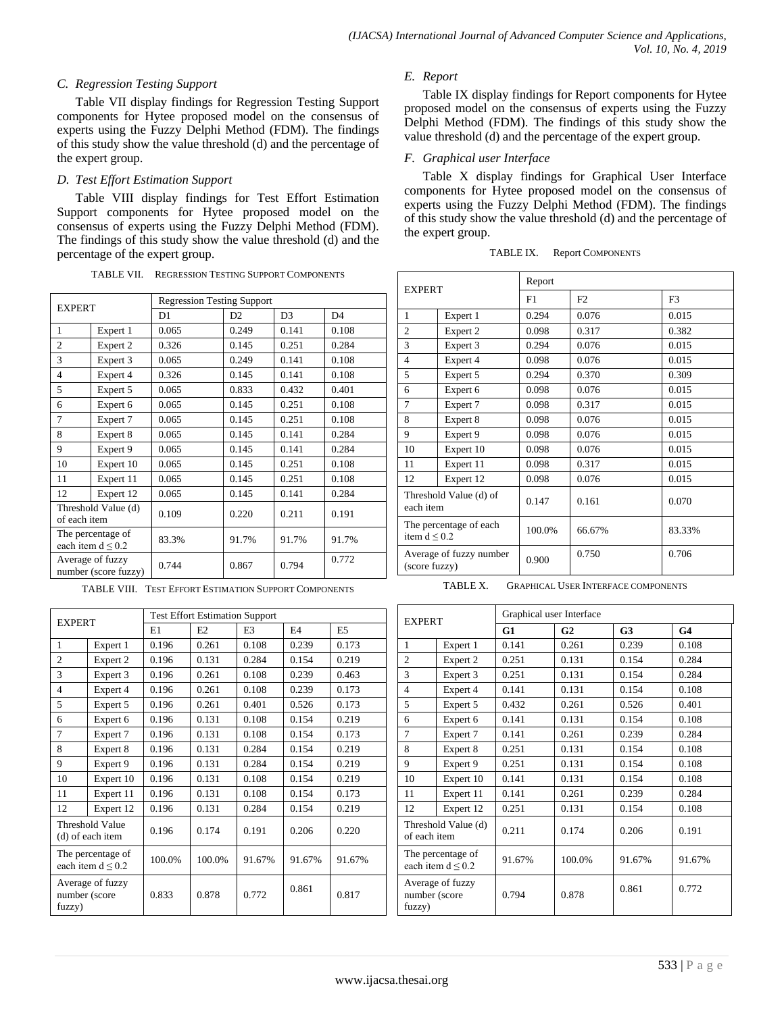### *C. Regression Testing Support*

Table VII display findings for Regression Testing Support components for Hytee proposed model on the consensus of experts using the Fuzzy Delphi Method (FDM). The findings of this study show the value threshold (d) and the percentage of the expert group.

#### *D. Test Effort Estimation Support*

Table VIII display findings for Test Effort Estimation Support components for Hytee proposed model on the consensus of experts using the Fuzzy Delphi Method (FDM). The findings of this study show the value threshold (d) and the percentage of the expert group.

TABLE VII. REGRESSION TESTING SUPPORT COMPONENTS

| <b>EXPERT</b>                               |                     | <b>Regression Testing Support</b> |                |                |                |  |
|---------------------------------------------|---------------------|-----------------------------------|----------------|----------------|----------------|--|
|                                             |                     | D1                                | D <sub>2</sub> | D <sub>3</sub> | D <sub>4</sub> |  |
| 1                                           | Expert 1            | 0.065                             | 0.249          | 0.141          | 0.108          |  |
| $\overline{c}$                              | Expert 2            | 0.326                             | 0.145          | 0.251          | 0.284          |  |
| 3                                           | Expert 3            | 0.065                             | 0.249          | 0.141          | 0.108          |  |
| $\overline{4}$                              | Expert 4            | 0.326                             | 0.145          | 0.141          | 0.108          |  |
| 5                                           | Expert 5            | 0.065                             | 0.833          | 0.432          | 0.401          |  |
| 6                                           | Expert 6            | 0.065                             | 0.145          | 0.251          | 0.108          |  |
| 7                                           | Expert 7            | 0.065                             | 0.145          | 0.251          | 0.108          |  |
| 8                                           | Expert 8            | 0.065                             | 0.145          | 0.141          | 0.284          |  |
| 9                                           | Expert 9            | 0.065                             | 0.145          | 0.141          | 0.284          |  |
| 10                                          | Expert 10           | 0.065                             | 0.145          | 0.251          | 0.108          |  |
| 11                                          | Expert 11           | 0.065                             | 0.145          | 0.251          | 0.108          |  |
| 12                                          | Expert 12           | 0.065                             | 0.145          | 0.141          | 0.284          |  |
| of each item                                | Threshold Value (d) | 0.109                             | 0.220          | 0.211          | 0.191          |  |
| The percentage of<br>each item $d \leq 0.2$ |                     | 83.3%                             | 91.7%          | 91.7%          | 91.7%          |  |
| Average of fuzzy<br>number (score fuzzy)    |                     | 0.744                             | 0.867          | 0.794          | 0.772          |  |

TABLE VIII. TEST EFFORT ESTIMATION SUPPORT COMPONENTS

| <b>EXPERT</b>           |                                            | <b>Test Effort Estimation Support</b> |        |                |                |                |
|-------------------------|--------------------------------------------|---------------------------------------|--------|----------------|----------------|----------------|
|                         |                                            | E1                                    | E2     | E <sub>3</sub> | E <sub>4</sub> | E <sub>5</sub> |
| 1                       | Expert 1                                   | 0.196                                 | 0.261  | 0.108          | 0.239          | 0.173          |
| $\overline{c}$          | Expert 2                                   | 0.196                                 | 0.131  | 0.284          | 0.154          | 0.219          |
| 3                       | Expert 3                                   | 0.196                                 | 0.261  | 0.108          | 0.239          | 0.463          |
| 4                       | Expert 4                                   | 0.196                                 | 0.261  | 0.108          | 0.239          | 0.173          |
| 5                       | Expert 5                                   | 0.196                                 | 0.261  | 0.401          | 0.526          | 0.173          |
| 6                       | Expert 6                                   | 0.196                                 | 0.131  | 0.108          | 0.154          | 0.219          |
| 7                       | Expert 7                                   | 0.196                                 | 0.131  | 0.108          | 0.154          | 0.173          |
| 8                       | Expert 8                                   | 0.196                                 | 0.131  | 0.284          | 0.154          | 0.219          |
| 9                       | Expert 9                                   | 0.196                                 | 0.131  | 0.284          | 0.154          | 0.219          |
| 10                      | Expert 10                                  | 0.196                                 | 0.131  | 0.108          | 0.154          | 0.219          |
| 11                      | Expert 11                                  | 0.196                                 | 0.131  | 0.108          | 0.154          | 0.173          |
| 12                      | Expert 12                                  | 0.196                                 | 0.131  | 0.284          | 0.154          | 0.219          |
|                         | <b>Threshold Value</b><br>(d) of each item | 0.196                                 | 0.174  | 0.191          | 0.206          | 0.220          |
|                         | The percentage of<br>each item $d \le 0.2$ | 100.0%                                | 100.0% | 91.67%         | 91.67%         | 91.67%         |
| number (score<br>fuzzy) | Average of fuzzy                           | 0.833                                 | 0.878  | 0.772          | 0.861          | 0.817          |

### *E. Report*

Table IX display findings for Report components for Hytee proposed model on the consensus of experts using the Fuzzy Delphi Method (FDM). The findings of this study show the value threshold (d) and the percentage of the expert group.

### *F. Graphical user Interface*

Table X display findings for Graphical User Interface components for Hytee proposed model on the consensus of experts using the Fuzzy Delphi Method (FDM). The findings of this study show the value threshold (d) and the percentage of the expert group.

| TABLE IX. | <b>Report COMPONENTS</b> |
|-----------|--------------------------|
|           |                          |

| <b>EXPERT</b>                               |           | Report |                |                |  |  |
|---------------------------------------------|-----------|--------|----------------|----------------|--|--|
|                                             |           | F1     | F <sub>2</sub> | F <sub>3</sub> |  |  |
| 1                                           | Expert 1  | 0.294  | 0.076          | 0.015          |  |  |
| $\overline{c}$                              | Expert 2  | 0.098  | 0.317          | 0.382          |  |  |
| 3                                           | Expert 3  | 0.294  | 0.076          | 0.015          |  |  |
| $\overline{4}$                              | Expert 4  | 0.098  | 0.076          | 0.015          |  |  |
| 5                                           | Expert 5  | 0.294  | 0.370          | 0.309          |  |  |
| 6                                           | Expert 6  | 0.098  | 0.076          | 0.015          |  |  |
| 7                                           | Expert 7  | 0.098  | 0.317          | 0.015          |  |  |
| 8                                           | Expert 8  | 0.098  | 0.076          | 0.015          |  |  |
| 9                                           | Expert 9  | 0.098  | 0.076          | 0.015          |  |  |
| 10                                          | Expert 10 | 0.098  | 0.076          | 0.015          |  |  |
| 11                                          | Expert 11 | 0.098  | 0.317          | 0.015          |  |  |
| 12                                          | Expert 12 | 0.098  | 0.076          | 0.015          |  |  |
| Threshold Value (d) of<br>each item         |           | 0.147  | 0.161          | 0.070          |  |  |
| The percentage of each<br>item $d \leq 0.2$ |           | 100.0% | 66.67%         | 83.33%         |  |  |
| Average of fuzzy number<br>(score fuzzy)    |           | 0.900  | 0.750          | 0.706          |  |  |

TABLE X. GRAPHICAL USER INTERFACE COMPONENTS

| <b>EXPERT</b>                               |           | Graphical user Interface |                |                |                |  |  |
|---------------------------------------------|-----------|--------------------------|----------------|----------------|----------------|--|--|
|                                             |           | G1                       | G <sub>2</sub> | G <sub>3</sub> | G <sub>4</sub> |  |  |
| 1                                           | Expert 1  | 0.141                    | 0.261          | 0.239          | 0.108          |  |  |
| $\overline{c}$                              | Expert 2  | 0.251                    | 0.131          | 0.154          | 0.284          |  |  |
| 3                                           | Expert 3  | 0.251                    | 0.131          | 0.154          | 0.284          |  |  |
| 4                                           | Expert 4  | 0.141                    | 0.131          | 0.154          | 0.108          |  |  |
| 5                                           | Expert 5  | 0.432                    | 0.261          | 0.526          | 0.401          |  |  |
| 6                                           | Expert 6  | 0.141                    | 0.131          | 0.154          | 0.108          |  |  |
| 7                                           | Expert 7  | 0.141                    | 0.261          | 0.239          | 0.284          |  |  |
| 8                                           | Expert 8  | 0.251                    | 0.131          | 0.154          | 0.108          |  |  |
| 9                                           | Expert 9  | 0.251                    | 0.131          | 0.154          | 0.108          |  |  |
| 10                                          | Expert 10 | 0.141                    | 0.131          | 0.154          | 0.108          |  |  |
| 11                                          | Expert 11 | 0.141                    | 0.261          | 0.239          | 0.284          |  |  |
| 12                                          | Expert 12 | 0.251                    | 0.131          | 0.154          | 0.108          |  |  |
| Threshold Value (d)<br>of each item         |           | 0.211                    | 0.174          | 0.206          | 0.191          |  |  |
| The percentage of<br>each item $d \leq 0.2$ |           | 91.67%                   | 100.0%         | 91.67%         | 91.67%         |  |  |
| Average of fuzzy<br>number (score<br>fuzzy) |           | 0.794                    | 0.878          | 0.861          | 0.772          |  |  |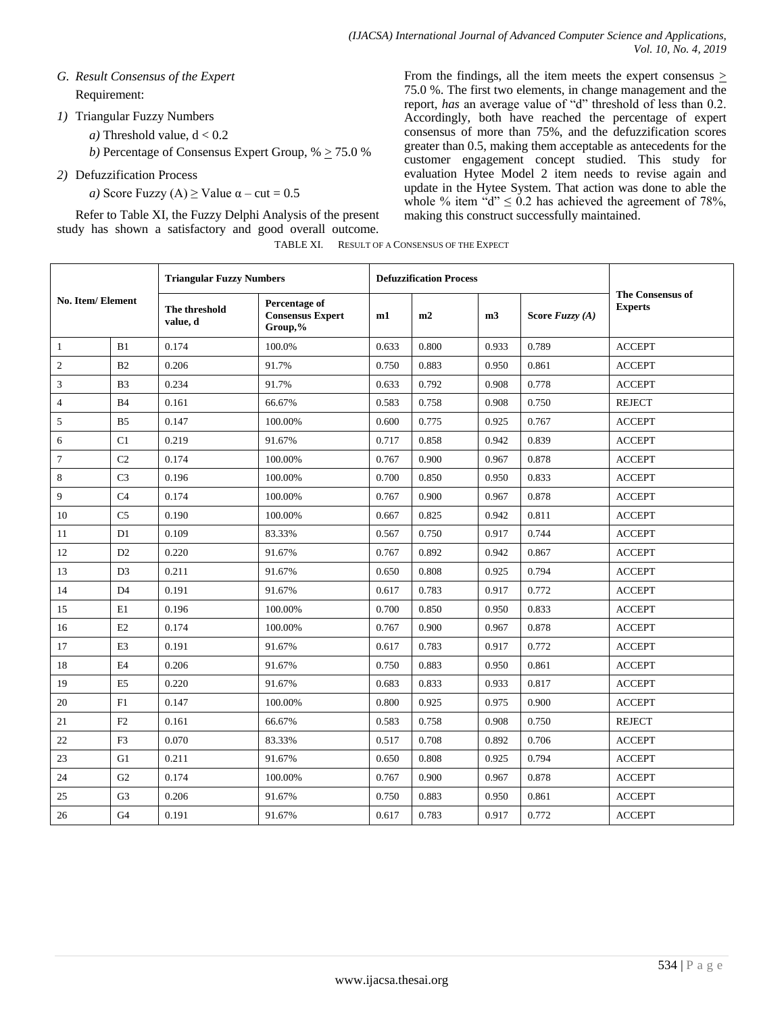## *G. Result Consensus of the Expert* Requirement:

- *1)* Triangular Fuzzy Numbers
	- *a*) Threshold value,  $d < 0.2$
	- *b*) Percentage of Consensus Expert Group,  $% > 75.0$  %
- *2)* Defuzzification Process
	- *a*) Score Fuzzy (A)  $\geq$  Value  $\alpha$  cut = 0.5

Refer to Table XI, the Fuzzy Delphi Analysis of the present study has shown a satisfactory and good overall outcome. From the findings, all the item meets the expert consensus  $\geq$ 75.0 %. The first two elements, in change management and the report, *has* an average value of "d" threshold of less than 0.2. Accordingly, both have reached the percentage of expert consensus of more than 75%, and the defuzzification scores greater than 0.5, making them acceptable as antecedents for the customer engagement concept studied. This study for evaluation Hytee Model 2 item needs to revise again and update in the Hytee System. That action was done to able the whole % item "d"  $\leq 0.2$  has achieved the agreement of 78%, making this construct successfully maintained.

| No. Item/Element |                | <b>Triangular Fuzzy Numbers</b> |                                                     |       | <b>Defuzzification Process</b> |                |                  |                                           |
|------------------|----------------|---------------------------------|-----------------------------------------------------|-------|--------------------------------|----------------|------------------|-------------------------------------------|
|                  |                | The threshold<br>value, d       | Percentage of<br><b>Consensus Expert</b><br>Group,% | m1    | m2                             | m <sub>3</sub> | Score $Fuzzy(A)$ | <b>The Consensus of</b><br><b>Experts</b> |
| -1               | B1             | 0.174                           | 100.0%                                              | 0.633 | 0.800                          | 0.933          | 0.789            | <b>ACCEPT</b>                             |
| $\mathfrak{2}$   | B2             | 0.206                           | 91.7%                                               | 0.750 | 0.883                          | 0.950          | 0.861            | <b>ACCEPT</b>                             |
| 3                | B <sub>3</sub> | 0.234                           | 91.7%                                               | 0.633 | 0.792                          | 0.908          | 0.778            | <b>ACCEPT</b>                             |
| $\overline{4}$   | <b>B4</b>      | 0.161                           | 66.67%                                              | 0.583 | 0.758                          | 0.908          | 0.750            | <b>REJECT</b>                             |
| 5                | B <sub>5</sub> | 0.147                           | 100.00%                                             | 0.600 | 0.775                          | 0.925          | 0.767            | <b>ACCEPT</b>                             |
| 6                | C1             | 0.219                           | 91.67%                                              | 0.717 | 0.858                          | 0.942          | 0.839            | <b>ACCEPT</b>                             |
| $\overline{7}$   | C <sub>2</sub> | 0.174                           | 100.00%                                             | 0.767 | 0.900                          | 0.967          | 0.878            | <b>ACCEPT</b>                             |
| 8                | C <sub>3</sub> | 0.196                           | 100.00%                                             | 0.700 | 0.850                          | 0.950          | 0.833            | <b>ACCEPT</b>                             |
| 9                | C <sub>4</sub> | 0.174                           | 100.00%                                             | 0.767 | 0.900                          | 0.967          | 0.878            | <b>ACCEPT</b>                             |
| 10               | C <sub>5</sub> | 0.190                           | 100.00%                                             | 0.667 | 0.825                          | 0.942          | 0.811            | <b>ACCEPT</b>                             |
| 11               | D <sub>1</sub> | 0.109                           | 83.33%                                              | 0.567 | 0.750                          | 0.917          | 0.744            | <b>ACCEPT</b>                             |
| 12               | D2             | 0.220                           | 91.67%                                              | 0.767 | 0.892                          | 0.942          | 0.867            | <b>ACCEPT</b>                             |
| 13               | D3             | 0.211                           | 91.67%                                              | 0.650 | 0.808                          | 0.925          | 0.794            | <b>ACCEPT</b>                             |
| 14               | D <sub>4</sub> | 0.191                           | 91.67%                                              | 0.617 | 0.783                          | 0.917          | 0.772            | <b>ACCEPT</b>                             |
| 15               | E1             | 0.196                           | 100.00%                                             | 0.700 | 0.850                          | 0.950          | 0.833            | <b>ACCEPT</b>                             |
| 16               | E2             | 0.174                           | 100.00%                                             | 0.767 | 0.900                          | 0.967          | 0.878            | <b>ACCEPT</b>                             |
| 17               | E <sub>3</sub> | 0.191                           | 91.67%                                              | 0.617 | 0.783                          | 0.917          | 0.772            | <b>ACCEPT</b>                             |
| 18               | E <sub>4</sub> | 0.206                           | 91.67%                                              | 0.750 | 0.883                          | 0.950          | 0.861            | <b>ACCEPT</b>                             |
| 19               | E <sub>5</sub> | 0.220                           | 91.67%                                              | 0.683 | 0.833                          | 0.933          | 0.817            | <b>ACCEPT</b>                             |
| 20               | F1             | 0.147                           | 100.00%                                             | 0.800 | 0.925                          | 0.975          | 0.900            | <b>ACCEPT</b>                             |
| 21               | F2             | 0.161                           | 66.67%                                              | 0.583 | 0.758                          | 0.908          | 0.750            | <b>REJECT</b>                             |
| 22               | F <sub>3</sub> | 0.070                           | 83.33%                                              | 0.517 | 0.708                          | 0.892          | 0.706            | <b>ACCEPT</b>                             |
| 23               | G1             | 0.211                           | 91.67%                                              | 0.650 | 0.808                          | 0.925          | 0.794            | <b>ACCEPT</b>                             |
| 24               | G <sub>2</sub> | 0.174                           | 100.00%                                             | 0.767 | 0.900                          | 0.967          | 0.878            | <b>ACCEPT</b>                             |
| 25               | G <sub>3</sub> | 0.206                           | 91.67%                                              | 0.750 | 0.883                          | 0.950          | 0.861            | <b>ACCEPT</b>                             |
| 26               | G <sub>4</sub> | 0.191                           | 91.67%                                              | 0.617 | 0.783                          | 0.917          | 0.772            | <b>ACCEPT</b>                             |